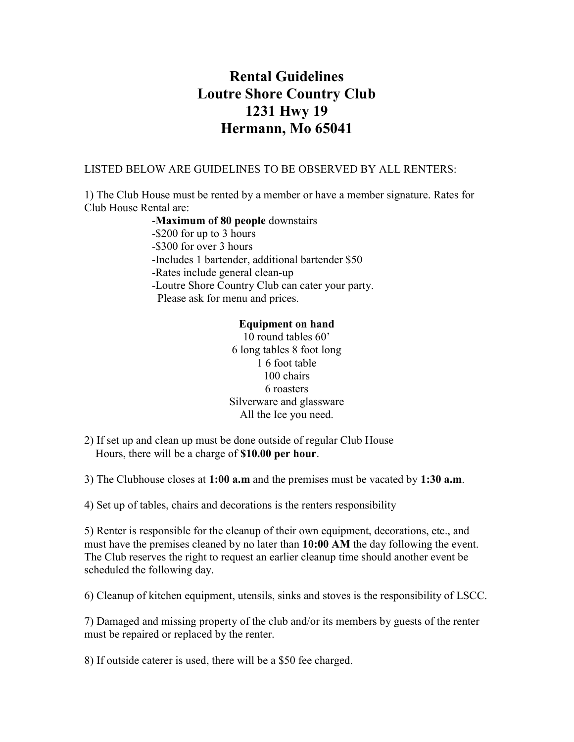## Rental Guidelines Loutre Shore Country Club 1231 Hwy 19 Hermann, Mo 65041

## LISTED BELOW ARE GUIDELINES TO BE OBSERVED BY ALL RENTERS:

1) The Club House must be rented by a member or have a member signature. Rates for Club House Rental are:

> -Maximum of 80 people downstairs -\$200 for up to 3 hours -\$300 for over 3 hours -Includes 1 bartender, additional bartender \$50 -Rates include general clean-up -Loutre Shore Country Club can cater your party. Please ask for menu and prices.

## Equipment on hand

10 round tables 60' 6 long tables 8 foot long 1 6 foot table 100 chairs 6 roasters Silverware and glassware All the Ice you need.

2) If set up and clean up must be done outside of regular Club House Hours, there will be a charge of \$10.00 per hour.

3) The Clubhouse closes at  $1:00$  a.m and the premises must be vacated by  $1:30$  a.m.

4) Set up of tables, chairs and decorations is the renters responsibility

5) Renter is responsible for the cleanup of their own equipment, decorations, etc., and must have the premises cleaned by no later than 10:00 AM the day following the event. The Club reserves the right to request an earlier cleanup time should another event be scheduled the following day.

6) Cleanup of kitchen equipment, utensils, sinks and stoves is the responsibility of LSCC.

7) Damaged and missing property of the club and/or its members by guests of the renter must be repaired or replaced by the renter.

8) If outside caterer is used, there will be a \$50 fee charged.